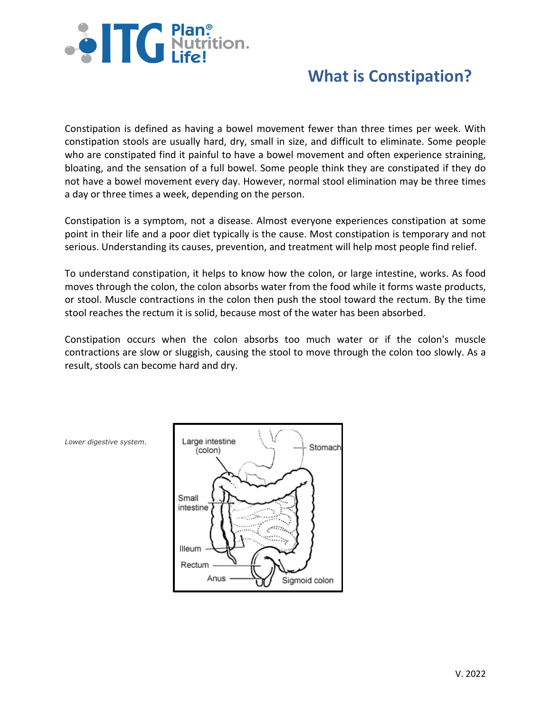

# **What is Constipation?**

Constipation is defined as having a bowel movement fewer than three times per week. With constipation stools are usually hard, dry, small in size, and difficult to eliminate. Some people who are constipated find it painful to have a bowel movement and often experience straining, bloating, and the sensation of a full bowel. Some people think they are constipated if they do not have a bowel movement every day. However, normal stool elimination may be three times a day or three times a week, depending on the person.

Constipation is a symptom, not a disease. Almost everyone experiences constipation at some point in their life and a poor diet typically is the cause. Most constipation is temporary and not serious. Understanding its causes, prevention, and treatment will help most people find relief.

To understand constipation, it helps to know how the colon, or large intestine, works. As food moves through the colon, the colon absorbs water from the food while it forms waste products, or stool. Muscle contractions in the colon then push the stool toward the rectum. By the time stool reaches the rectum it is solid, because most of the water has been absorbed.

Constipation occurs when the colon absorbs too much water or if the colon's muscle contractions are slow or sluggish, causing the stool to move through the colon too slowly. As a result, stools can become hard and dry.



*Lower digestive system.*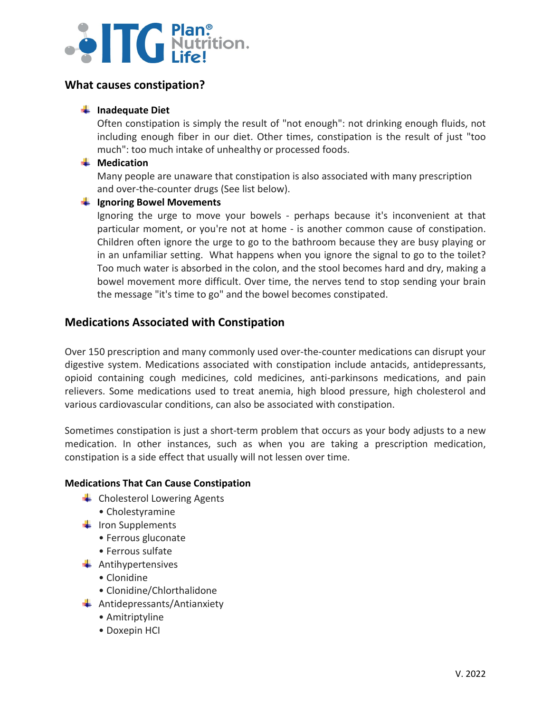# **SETC** Plan.

# **What causes constipation?**

## **[Inadequate Diet](http://www.senokot.com/constipation/causes.aspx)**

Often constipation is simply the result of "not enough": not drinking enough fluids, not including enough fiber in our diet. Other times, constipation is the result of just "too much": too much intake of unhealthy or processed foods.

### **Wedication**

Many people are unaware that constipation is also associated with many prescription and over-the-counter drugs (See list below).

### **[Ignoring Bowel Movements](http://www.senokot.com/constipation/causes.aspx)**

Ignoring the urge to move your bowels - perhaps because it's inconvenient at that particular moment, or you're not at home - is another common cause of constipation. Children often ignore the urge to go to the bathroom because they are busy playing or in an unfamiliar setting. What happens when you ignore the signal to go to the toilet? Too much water is absorbed in the colon, and the stool becomes hard and dry, making a bowel movement more difficult. Over time, the nerves tend to stop sending your brain the message "it's time to go" and the bowel becomes constipated.

# **Medications Associated with Constipation**

Over 150 prescription and many commonly used over-the-counter medications can disrupt your digestive system. Medications associated with constipation include antacids, antidepressants, opioid containing cough medicines, cold medicines, anti-parkinsons medications, and pain relievers. Some medications used to treat anemia, high blood pressure, high cholesterol and various cardiovascular conditions, can also be associated with constipation.

Sometimes constipation is just a short-term problem that occurs as your body adjusts to a new medication. In other instances, such as when you are taking a prescription medication, constipation is a side effect that usually will not lessen over time.

### **Medications That Can Cause Constipation**

- $\leftarrow$  Cholesterol Lowering Agents
	- Cholestyramine
- $\ddot{\bullet}$  Iron Supplements
	- Ferrous gluconate
	- Ferrous sulfate
- $\ddot{*}$  Antihypertensives
	- Clonidine
	- Clonidine/Chlorthalidone
- $\leftarrow$  Antidepressants/Antianxiety
	- Amitriptyline
	- Doxepin HCI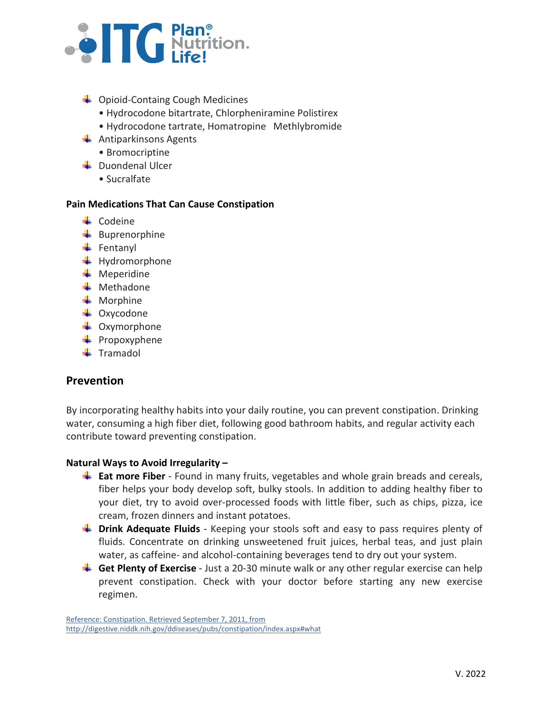

- **↓** Opioid-Containg Cough Medicines
	- Hydrocodone bitartrate, Chlorpheniramine Polistirex
	- Hydrocodone tartrate, Homatropine Methlybromide
- $\leftarrow$  Antiparkinsons Agents
	- Bromocriptine
- $\leftarrow$  Duondenal Ulcer
	- Sucralfate

### **Pain Medications That Can Cause Constipation**

- $\leftarrow$  Codeine
- $\frac{1}{2}$  Buprenorphine
- $\leftarrow$  Fentanyl
- $\ddot{\text{+}}$  Hydromorphone
- $\bigstar$  Meperidine
- **Wethadone**
- $\blacksquare$  Morphine
- $\triangleq$  Oxycodone
- $\triangleq$  Oxymorphone
- $\leftarrow$  Propoxyphene
- $\ddot{\bullet}$  Tramadol

# **Prevention**

By incorporating healthy habits into your daily routine, you can prevent constipation. Drinking water, consuming a high fiber diet, following good bathroom habits, and regular activity each contribute toward preventing constipation.

### **Natural Ways to Avoid Irregularity –**

- **[Eat more Fiber](http://www.senokot.com/constipation/prevention.aspx)** Found in many fruits, vegetables and whole grain breads and cereals, fiber helps your body develop soft, bulky stools. In addition to adding healthy fiber to your diet, try to avoid over-processed foods with little fiber, such as chips, pizza, ice cream, frozen dinners and instant potatoes.
- **[Drink Adequate Fluids](http://www.senokot.com/constipation/prevention.aspx)** Keeping your stools soft and easy to pass requires plenty of fluids. Concentrate on drinking unsweetened fruit juices, herbal teas, and just plain water, as caffeine- and alcohol-containing beverages tend to dry out your system.
- [Get Plenty of Exercise](http://www.senokot.com/constipation/prevention.aspx) Just a 20-30 minute walk or any other regular exercise can help prevent constipation. Check with your doctor before starting any new exercise regimen.

Reference: Constipation. Retrieved September 7, 2011, from <http://digestive.niddk.nih.gov/ddiseases/pubs/constipation/index.aspx#what>